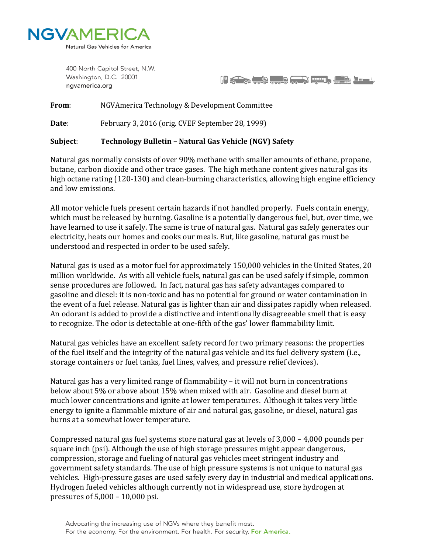

400 North Capitol Street, N.W. Washington, D.C. 20001 ngvamerica.org

if a book of the second of the second second second to the second second second second second second second second second second second second second second second second second second second second second second second se

**From**: NGVAmerica Technology & Development Committee

**Date**: February 3, 2016 (orig. CVEF September 28, 1999)

## **Subject**: **Technology Bulletin – Natural Gas Vehicle (NGV) Safety**

Natural gas normally consists of over 90% methane with smaller amounts of ethane, propane, butane, carbon dioxide and other trace gases. The high methane content gives natural gas its high octane rating (120-130) and clean-burning characteristics, allowing high engine efficiency and low emissions.

All motor vehicle fuels present certain hazards if not handled properly. Fuels contain energy, which must be released by burning. Gasoline is a potentially dangerous fuel, but, over time, we have learned to use it safely. The same is true of natural gas. Natural gas safely generates our electricity, heats our homes and cooks our meals. But, like gasoline, natural gas must be understood and respected in order to be used safely.

Natural gas is used as a motor fuel for approximately 150,000 vehicles in the United States, 20 million worldwide. As with all vehicle fuels, natural gas can be used safely if simple, common sense procedures are followed. In fact, natural gas has safety advantages compared to gasoline and diesel: it is non-toxic and has no potential for ground or water contamination in the event of a fuel release. Natural gas is lighter than air and dissipates rapidly when released. An odorant is added to provide a distinctive and intentionally disagreeable smell that is easy to recognize. The odor is detectable at one-fifth of the gas' lower flammability limit.

Natural gas vehicles have an excellent safety record for two primary reasons: the properties of the fuel itself and the integrity of the natural gas vehicle and its fuel delivery system (i.e., storage containers or fuel tanks, fuel lines, valves, and pressure relief devices).

Natural gas has a very limited range of flammability – it will not burn in concentrations below about 5% or above about 15% when mixed with air. Gasoline and diesel burn at much lower concentrations and ignite at lower temperatures. Although it takes very little energy to ignite a flammable mixture of air and natural gas, gasoline, or diesel, natural gas burns at a somewhat lower temperature.

Compressed natural gas fuel systems store natural gas at levels of 3,000 – 4,000 pounds per square inch (psi). Although the use of high storage pressures might appear dangerous, compression, storage and fueling of natural gas vehicles meet stringent industry and government safety standards. The use of high pressure systems is not unique to natural gas vehicles. High-pressure gases are used safely every day in industrial and medical applications. Hydrogen fueled vehicles although currently not in widespread use, store hydrogen at pressures of 5,000 – 10,000 psi.